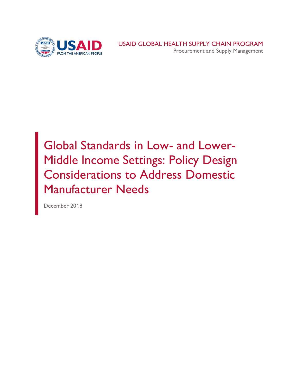

## Global Standards in Low- and Lower-Middle Income Settings: Policy Design Considerations to Address Domestic Manufacturer Needs

December 2018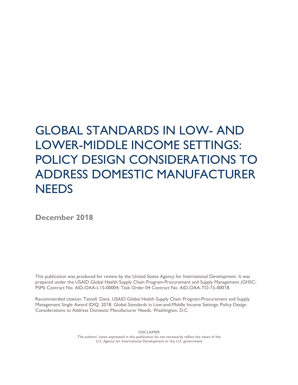## GLOBAL STANDARDS IN LOW- AND LOWER-MIDDLE INCOME SETTINGS: POLICY DESIGN CONSIDERATIONS TO ADDRESS DOMESTIC MANUFACTURER **NEEDS**

**December 2018**

This publication was produced for review by the United States Agency for International Development. It was prepared under the USAID Global Health Supply Chain Program-Procurement and Supply Management (GHSC-PSM) Contract No. AID-OAA-I-15-00004; Task Order 04 Contract No. AID-OAA-TO-15-00018.

Recommended citation: Tatnell, Dana. USAID Global Health Supply Chain Program-Procurement and Supply Management Single Award IDIQ. 2018. Global Standards in Low-and-Middle Income Settings: Policy Design Considerations to Address Domestic Manufacturer Needs. Washington, D.C.

> DISCLAIMER The authors' views expressed in this publication do not necessarily reflect the views of the U.S. Agency for International Development or the U.S. government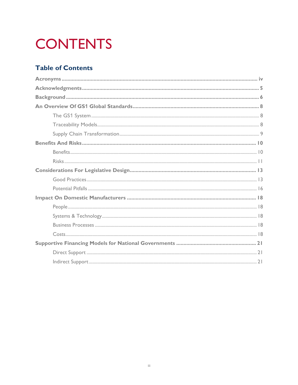# **CONTENTS**

## **Table of Contents**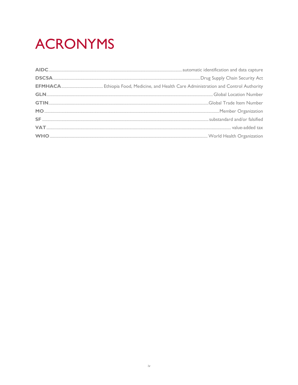# **ACRONYMS**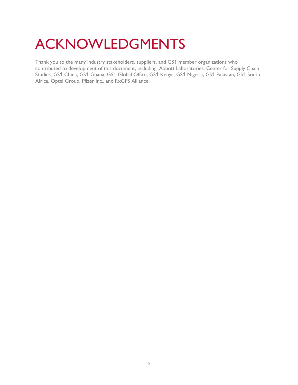## ACKNOWLEDGMENTS

Thank you to the many industry stakeholders, suppliers, and GS1 member organizations who contributed to development of this document, including: Abbott Laboratories, Center for Supply Chain Studies, GS1 China, GS1 Ghana, GS1 Global Office, GS1 Kenya, GS1 Nigeria, GS1 Pakistan, GS1 South Africa, Optel Group, Pfizer Inc., and RxGPS Alliance.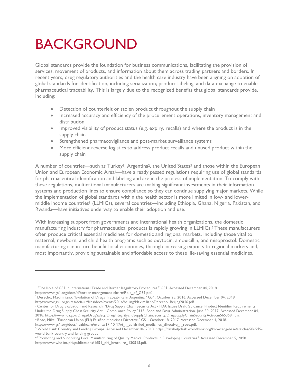## BACKGROUND

Global standards provide the foundation for business communications, facilitating the provision of services, movement of products, and information about them across trading partners and borders. In recent years, drug regulatory authorities and the health care industry have been aligning on adoption of global standards for identification, including serialization; product labeling; and data exchange to enable pharmaceutical traceability. This is largely due to the recognized benefits that global standards provide, including:

- Detection of counterfeit or stolen product throughout the supply chain
- Increased accuracy and efficiency of the procurement operations, inventory management and distribution
- Improved visibility of product status (e.g. expiry, recalls) and where the product is in the supply chain
- Strengthened pharmacovigilance and post-market surveillance systems
- More efficient reverse logistics to address product recalls and unused product within the supply chain

A number of countries—such as Turkey<sup>1</sup>, Argentina<sup>2</sup>, the United States<sup>3</sup> and those within the European Union and European Economic Area<sup>4</sup>—have already passed regulations requiring use of global standards for pharmaceutical identification and labeling and are in the process of implementation. To comply with these regulations, multinational manufacturers are making significant investments in their information systems and production lines to ensure compliance so they can continue supplying major markets. While the implementation of global standards within the health sector is more limited in low- and lowermiddle income countries<sup>5</sup> (LLMICs), several countries—including Ethiopia, Ghana, Nigeria, Pakistan, and Rwanda—have initiatives underway to enable their adoption and use.

With increasing support from governments and international health organizations, the domestic manufacturing industry for pharmaceutical products is rapidly growing in LLMICs. <sup>6</sup> These manufacturers often produce critical essential medicines for domestic and regional markets, including those vital to maternal, newborn, and child health programs such as oxytocin, amoxicillin, and misoprostol. Domestic manufacturing can in turn benefit local economies, through increasing exports to regional markets and, most importantly, providing sustainable and affordable access to these life-saving essential medicines.

 $\overline{a}$ 

<sup>&</sup>lt;sup>1</sup> "The Role of GS1 in International Trade and Border Regulatory Procedures." GS1. Accessed December 04, 2018.

https://www.gs1.org/docs/tl/border-management-elearn/Role\_of\_GS1.pdf.

<sup>2</sup> Derecho, Maximiliano. "Evolution of Drugs Traceability in Argentina." GS1. October 25, 2016. Accessed December 04, 2018. https://www.gs1.org/sites/default/files/docs/events/2016/beijing/MaximilianoDerecho\_Beijing2016.pdf.

<sup>&</sup>lt;sup>3</sup> Center for Drug Evaluation and Research. "Drug Supply Chain Security Act - FDA Issues Draft Guidance: Product Identifier Requirements Under the Drug Supply Chain Security Act – Compliance Policy." U.S. Food and Drug Administration. June 30, 2017. Accessed December 04, 2018. https://www.fda.gov/Drugs/DrugSafety/DrugIntegrityandSupplyChainSecurity/DrugSupplyChainSecurityAct/ucm565358.htm.

<sup>4</sup> Rose, Mike. "European Union (EU) Falsified Medicines Directive." GS1. October 18, 2017. Accessed December 4, 2018.

https://www.gs1.org/docs/healthcare/events/17-10-17/6 - eufalsified medicines directive - rose.pdf.

<sup>5</sup> World Bank Country and Lending Groups. Accessed December 04, 2018. https://datahelpdesk.worldbank.org/knowledgebase/articles/906519 world-bank-country-and-lending-groups

<sup>6</sup> "Promoting and Supporting Local Manufacturing of Quality Medical Products in Developing Countries." Accessed December 5, 2018. https://www.who.int/phi/publications/1651\_phi\_brochure\_130515.pdf.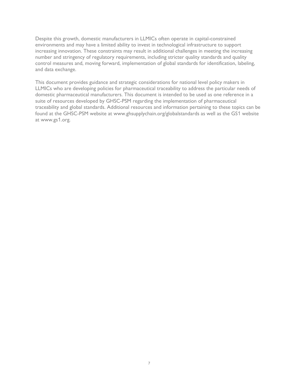Despite this growth, domestic manufacturers in LLMICs often operate in capital-constrained environments and may have a limited ability to invest in technological infrastructure to support increasing innovation. These constraints may result in additional challenges in meeting the increasing number and stringency of regulatory requirements, including stricter quality standards and quality control measures and, moving forward, implementation of global standards for identification, labeling, and data exchange.

This document provides guidance and strategic considerations for national level policy makers in LLMICs who are developing policies for pharmaceutical traceability to address the particular needs of domestic pharmaceutical manufacturers. This document is intended to be used as one reference in a suite of resources developed by GHSC-PSM regarding the implementation of pharmaceutical traceability and global standards. Additional resources and information pertaining to these topics can be found at the GHSC-PSM website at www.ghsupplychain.org/globalstandards as well as the GS1 website at www.gs1.org.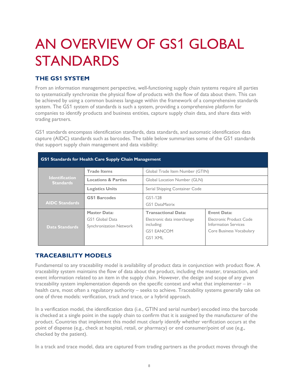## AN OVERVIEW OF GS1 GLOBAL STANDARDS

## **THE GS1 SYSTEM**

From an information management perspective, well-functioning supply chain systems require all parties to systematically synchronize the physical flow of products with the flow of data about them. This can be achieved by using a common business language within the framework of a comprehensive standards system. The GS1 system of standards is such a system, providing a comprehensive platform for companies to identify products and business entities, capture supply chain data, and share data with trading partners.

GS1 standards encompass identification standards, data standards, and automatic identification data capture (AIDC) standards such as barcodes. The table below summarizes some of the GS1 standards that support supply chain management and data visibility:

| GS1 Standards for Health Care Supply Chain Management |                                                                          |                                                                                                         |                                                                                                   |  |  |
|-------------------------------------------------------|--------------------------------------------------------------------------|---------------------------------------------------------------------------------------------------------|---------------------------------------------------------------------------------------------------|--|--|
|                                                       | <b>Trade Items</b>                                                       | Global Trade Item Number (GTIN)                                                                         |                                                                                                   |  |  |
| <b>Identification</b><br><b>Standards</b>             | <b>Locations &amp; Parties</b>                                           | Global Location Number (GLN)                                                                            |                                                                                                   |  |  |
|                                                       | <b>Logistics Units</b>                                                   | Serial Shipping Container Code                                                                          |                                                                                                   |  |  |
| <b>AIDC Standards</b>                                 | <b>GS1 Barcodes</b>                                                      | GS1-128<br><b>GS1 DataMatrix</b>                                                                        |                                                                                                   |  |  |
| <b>Data Standards</b>                                 | <b>Master Data:</b><br><b>GS1 Global Data</b><br>Synchronization Network | <b>Transactional Data:</b><br>Electronic data interchange<br>including:<br><b>GS1 EANCOM</b><br>GS1 XML | <b>Event Data:</b><br>Electronic Product Code<br>Information Services<br>Core Business Vocabulary |  |  |

## **TRACEABILITY MODELS**

Fundamental to any traceability model is availability of product data in conjunction with product flow. A traceability system maintains the flow of data about the product, including the master, transaction, and event information related to an item in the supply chain. However, the design and scope of any given traceability system implementation depends on the specific context and what that implementer – in health care, most often a regulatory authority – seeks to achieve. Traceability systems generally take on one of three models: verification, track and trace, or a hybrid approach.

In a verification model, the identification data (i.e., GTIN and serial number) encoded into the barcode is checked at a single point in the supply chain to confirm that it is assigned by the manufacturer of the product. Countries that implement this model must clearly identify whether verification occurs at the point of dispense (e.g., check at hospital, retail, or pharmacy) or end consumer/point of use (e.g., checked by the patient).

In a track and trace model, data are captured from trading partners as the product moves through the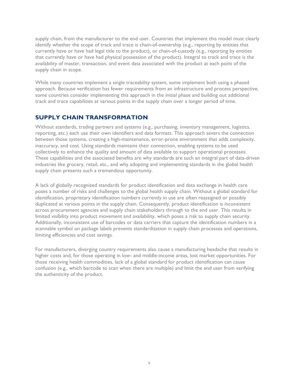supply chain, from the manufacturer to the end user. Countries that implement this model must clearly identify whether the scope of track and trace is chain-of-ownership (e.g., reporting by entities that currently have or have had legal title to the product), or chain-of-custody (e.g., reporting by entities that currently have or have had physical possession of the product). Integral to track and trace is the availability of master, transaction, and event data associated with the product at each point of the supply chain in scope.

While many countries implement a single traceability system, some implement both using a phased approach. Because verification has fewer requirements from an infrastructure and process perspective, some countries consider implementing this approach in the initial phase and building out additional track and trace capabilities at various points in the supply chain over a longer period of time.

## **SUPPLY CHAIN TRANSFORMATION**

Without standards, trading partners and systems (e.g., purchasing, inventory management, logistics, reporting, etc.) each use their own identifiers and data formats. This approach severs the connection between those systems, creating a high-maintenance, error-prone environment that adds complexity, inaccuracy, and cost. Using standards maintains their connection, enabling systems to be used collectively to enhance the quality and amount of data available to support operational processes. These capabilities and the associated benefits are why standards are such an integral part of data-driven industries like grocery, retail, etc., and why adopting and implementing standards in the global health supply chain presents such a tremendous opportunity.

A lack of globally recognized standards for product identification and data exchange in health care poses a number of risks and challenges to the global health supply chain. Without a global standard for identification, proprietary identification numbers currently in use are often reassigned or possibly duplicated at various points in the supply chain. Consequently, product identification is inconsistent across procurement agencies and supply chain stakeholders through to the end user. This results in limited visibility into product movement and availability, which poses a risk to supply chain security. Additionally, inconsistent use of barcodes or data carriers that capture the identification numbers in a scannable symbol on package labels prevents standardization in supply chain processes and operations, limiting efficiencies and cost savings.

For manufacturers, diverging country requirements also cause a manufacturing headache that results in higher costs and, for those operating in low- and middle-income areas, lost market opportunities. For those receiving health commodities, lack of a global standard for product identification can cause confusion (e.g., which barcode to scan when there are multiple) and limit the end user from verifying the authenticity of the product.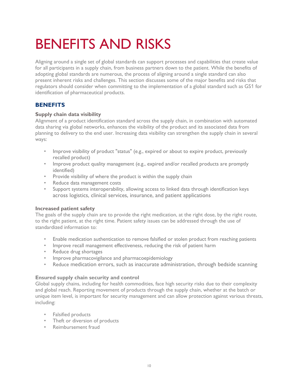## BENEFITS AND RISKS

Aligning around a single set of global standards can support processes and capabilities that create value for all participants in a supply chain, from business partners down to the patient. While the benefits of adopting global standards are numerous, the process of aligning around a single standard can also present inherent risks and challenges. This section discusses some of the major benefits and risks that regulators should consider when committing to the implementation of a global standard such as GS1 for identification of pharmaceutical products.

## **BENEFITS**

### **Supply chain data visibility**

Alignment of a product identification standard across the supply chain, in combination with automated data sharing via global networks, enhances the visibility of the product and its associated data from planning to delivery to the end user. Increasing data visibility can strengthen the supply chain in several ways:

- Improve visibility of product "status" (e.g., expired or about to expire product, previously recalled product)
- Improve product quality management (e.g., expired and/or recalled products are promptly identified)
- Provide visibility of where the product is within the supply chain
- Reduce data management costs
- Support systems interoperability, allowing access to linked data through identification keys across logistics, clinical services, insurance, and patient applications

#### **Increased patient safety**

The goals of the supply chain are to provide the right medication, at the right dose, by the right route, to the right patient, at the right time. Patient safety issues can be addressed through the use of standardized information to:

- Enable medication authentication to remove falsified or stolen product from reaching patients
- Improve recall management effectiveness, reducing the risk of patient harm
- Reduce drug shortages
- Improve pharmacovigilance and pharmacoepidemiology
- Reduce medication errors, such as inaccurate administration, through bedside scanning

#### **Ensured supply chain security and control**

Global supply chains, including for health commodities, face high security risks due to their complexity and global reach. Reporting movement of products through the supply chain, whether at the batch or unique item level, is important for security management and can allow protection against various threats, including:

- Falsified products
- Theft or diversion of products
- Reimbursement fraud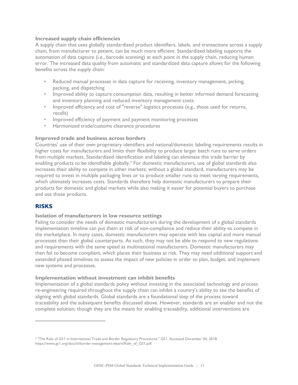#### **Increased supply chain efficiencies**

A supply chain that uses globally standardized product identifiers, labels, and transactions across a supply chain, from manufacturer to patient, can be much more efficient. Standardized labeling supports the automation of data capture (i.e., barcode scanning) at each point in the supply chain, reducing human error. The increased data quality from automatic and standardized data capture allows for the following benefits across the supply chain:

- Reduced manual processes in data capture for receiving, inventory management, picking, packing, and dispatching
- Improved ability to capture consumption data, resulting in better informed demand forecasting and inventory planning and reduced inventory management costs
- Improved efficiency and cost of "reverse" logistics processes (e.g., those used for returns, recalls)
- Improved efficiency of payment and payment monitoring processes
- Harmonized trade/customs clearance procedures

#### **Improved trade and business across borders**

Countries' use of their own proprietary identifiers and national/domestic labeling requirements results in higher costs for manufacturers and limits their flexibility to produce larger batch runs to serve orders from multiple markets. Standardized identification and labeling can eliminate this trade barrier by enabling products to be identifiable globally.<sup>7</sup> For domestic manufacturers, use of global standards also increases their ability to compete in other markets; without a global standard, manufacturers may be required to invest in multiple packaging lines or to produce smaller runs to meet varying requirements, which ultimately increases costs. Standards therefore help domestic manufacturers to prepare their products for domestic and global markets while also making it easier for potential buyers to purchase and use those products.

### **RISKS**

 $\overline{a}$ 

#### **Isolation of manufacturers in low resource settings**

Failing to consider the needs of domestic manufacturers during the development of a global standards implementation timeline can put them at risk of non-compliance and reduce their ability to compete in the marketplace. In many cases, domestic manufacturers may operate with less capital and more manual processes than their global counterparts. As such, they may not be able to respond to new regulations and requirements with the same speed as multinational manufacturers. Domestic manufacturers may then fail to become compliant, which places their business at risk. They may need additional support and extended phased timelines to assess the impact of new policies in order to plan, budget, and implement new systems and processes.

#### **Implementation without investment can inhibit benefits**

Implementation of a global standards policy without investing in the associated technology and process re-engineering required throughout the supply chain can inhibit a country's ability to see the benefits of aligning with global standards. Global standards are a foundational step of the process toward traceability and the subsequent benefits discussed above. However, standards are an enabler and not the complete solution; though they are the means for enabling traceability, additional interventions are

<sup>7</sup> "The Role of GS1 in International Trade and Border Regulatory Procedures." GS1. Accessed December 04, 2018. https://www.gs1.org/docs/tl/border-management-elearn/Role\_of\_GS1.pdf.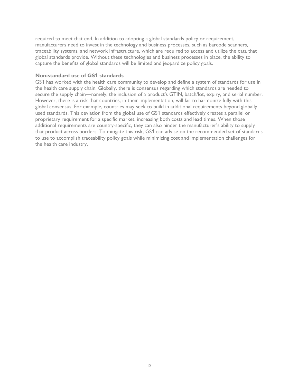required to meet that end. In addition to adopting a global standards policy or requirement, manufacturers need to invest in the technology and business processes, such as barcode scanners, traceability systems, and network infrastructure, which are required to access and utilize the data that global standards provide. Without these technologies and business processes in place, the ability to capture the benefits of global standards will be limited and jeopardize policy goals.

#### **Non-standard use of GS1 standards**

GS1 has worked with the health care community to develop and define a system of standards for use in the health care supply chain. Globally, there is consensus regarding which standards are needed to secure the supply chain—namely, the inclusion of a product's GTIN, batch/lot, expiry, and serial number. However, there is a risk that countries, in their implementation, will fail to harmonize fully with this global consensus. For example, countries may seek to build in additional requirements beyond globally used standards. This deviation from the global use of GS1 standards effectively creates a parallel or proprietary requirement for a specific market, increasing both costs and lead times. When those additional requirements are country-specific, they can also hinder the manufacturer's ability to supply that product across borders. To mitigate this risk, GS1 can advise on the recommended set of standards to use to accomplish traceability policy goals while minimizing cost and implementation challenges for the health care industry.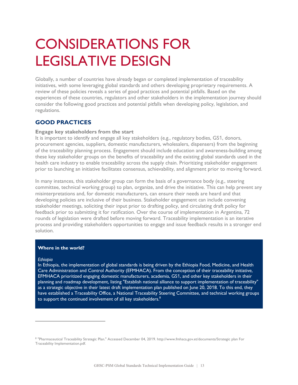## CONSIDERATIONS FOR LEGISLATIVE DESIGN

Globally, a number of countries have already began or completed implementation of traceability initiatives, with some leveraging global standards and others developing proprietary requirements. A review of these policies reveals a series of good practices and potential pitfalls. Based on the experiences of these countries, regulators and other stakeholders in the implementation journey should consider the following good practices and potential pitfalls when developing policy, legislation, and regulations.

## **GOOD PRACTICES**

#### **Engage key stakeholders from the start**

It is important to identify and engage all key stakeholders (e.g., regulatory bodies, GS1, donors, procurement agencies, suppliers, domestic manufacturers, wholesalers, dispensers) from the beginning of the traceability planning process. Engagement should include education and awareness-building among these key stakeholder groups on the benefits of traceability and the existing global standards used in the health care industry to enable traceability across the supply chain. Prioritizing stakeholder engagement prior to launching an initiative facilitates consensus, achievability, and alignment prior to moving forward.

In many instances, this stakeholder group can form the basis of a governance body (e.g., steering committee, technical working group) to plan, organize, and drive the initiative. This can help prevent any misinterpretations and, for domestic manufacturers, can ensure their needs are heard and that developing policies are inclusive of their business. Stakeholder engagement can include convening stakeholder meetings, soliciting their input prior to drafting policy, and circulating draft policy for feedback prior to submitting it for ratification. Over the course of implementation in Argentina, 72 rounds of legislation were drafted before moving forward. Traceability implementation is an iterative process and providing stakeholders opportunities to engage and issue feedback results in a stronger end solution.

#### **Where in the world?**

#### *Ethiopia*

 $\overline{a}$ 

In Ethiopia, the implementation of global standards is being driven by the Ethiopia Food, Medicine, and Health Care Administration and Control Authority (EFMHACA). From the conception of their traceability initiative, EFMHACA prioritized engaging domestic manufacturers, academia, GS1, and other key stakeholders in their planning and roadmap development, listing "Establish national alliance to support implementation of traceability" as a strategic objective in their latest draft implementation plan published on June 20, 2018. To this end, they have established a Traceability Office, a National Traceability Steering Committee, and technical working groups to support the continued involvement of all key stakeholders. $8$ 

<sup>8</sup> "Pharmaceutical Traceability Strategic Plan." Accessed December 04, 2019. http://www.fmhaca.gov.et/documents/Strategic plan For Traceability Implementation.pdf.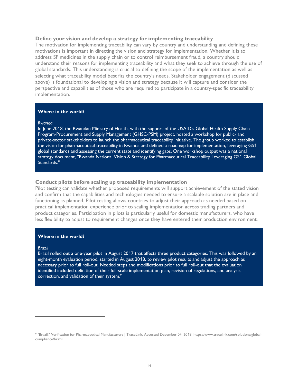#### **Define your vision and develop a strategy for implementing traceability**

The motivation for implementing traceability can vary by country and understanding and defining these motivations is important in directing the vision and strategy for implementation. Whether it is to address SF medicines in the supply chain or to control reimbursement fraud, a country should understand their reasons for implementing traceability and what they seek to achieve through the use of global standards. This understanding is crucial to defining the scope of the implementation as well as selecting what traceability model best fits the country's needs. Stakeholder engagement (discussed above) is foundational to developing a vision and strategy because it will capture and consider the perspective and capabilities of those who are required to participate in a country-specific traceability implementation.

#### **Where in the world?**

#### *Rwanda*

In June 2018, the Rwandan Ministry of Health, with the support of the USAID's Global Health Supply Chain Program-Procurement and Supply Management (GHSC-PSM) project, hosted a workshop for public- and private-sector stakeholders to launch the pharmaceutical traceability initiative. The group worked to establish the vision for pharmaceutical traceability in Rwanda and defined a roadmap for implementation, leveraging GS1 global standards and assessing the current state and identifying gaps. One workshop output was a national strategy document, "Rwanda National Vision & Strategy for Pharmaceutical Traceability Leveraging GS1 Global Standards."

#### **Conduct pilots before scaling up traceability implementation**

Pilot testing can validate whether proposed requirements will support achievement of the stated vision and confirm that the capabilities and technologies needed to ensure a scalable solution are in place and functioning as planned. Pilot testing allows countries to adjust their approach as needed based on practical implementation experience prior to scaling implementation across trading partners and product categories. Participation in pilots is particularly useful for domestic manufacturers, who have less flexibility to adjust to requirement changes once they have entered their production environment.

#### **Where in the world?**

#### *Brazil*

 $\overline{a}$ 

Brazil rolled out a one-year pilot in August 2017 that affects three product categories. This was followed by an eight-month evaluation period, started in August 2018, to review pilot results and adjust the approach as necessary prior to full roll-out. Needed steps and modifications prior to full roll-out that the evaluation identified included definition of their full-scale implementation plan, revision of regulations, and analysis, correction, and validation of their system.<sup>9</sup>

<sup>9</sup> "Brazil." Verification for Pharmaceutical Manufacturers | TraceLink. Accessed December 04, 2018. https://www.tracelink.com/solutions/globalcompliance/brazil.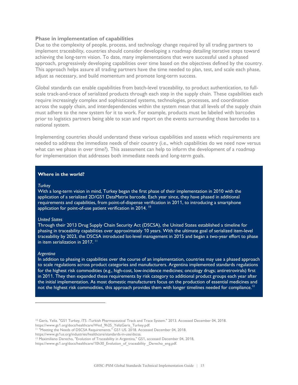#### **Phase in implementation of capabilities**

Due to the complexity of people, process, and technology change required by all trading partners to implement traceability, countries should consider developing a roadmap detailing iterative steps toward achieving the long-term vision. To date, many implementations that were successful used a phased approach, progressively developing capabilities over time based on the objectives defined by the country. This approach helps assure all trading partners have the time needed to plan, test, and scale each phase, adjust as necessary, and build momentum and promote long-term success.

Global standards can enable capabilities from batch-level traceability, to product authentication, to fullscale track-and-trace of serialized products through each step in the supply chain. These capabilities each require increasingly complex and sophisticated systems, technologies, processes, and coordination across the supply chain, and interdependencies within the system mean that all levels of the supply chain must adhere to the new system for it to work. For example, products must be labeled with barcodes prior to logistics partners being able to scan and report on the events surrounding those barcodes to a national system.

Implementing countries should understand these various capabilities and assess which requirements are needed to address the immediate needs of their country (i.e., which capabilities do we need now versus what can we phase in over time?). This assessment can help to inform the development of a roadmap for implementation that addresses both immediate needs and long-term goals.

#### **Where in the world?**

#### *Turkey*

With a long-term vision in mind, Turkey began the first phase of their implementation in 2010 with the application of a serialized 2D/GS1 DataMatrix barcode. Each year since, they have phased in additional requirements and capabilities, from point-of-dispense verification in 2011, to introducing a smartphone application for point-of-use patient verification in 2014.<sup>10</sup>

#### *United States*

Through their 2013 Drug Supply Chain Security Act (DSCSA), the United States established a timeline for phasing in traceability capabilities over approximately 10 years. With the ultimate goal of serialized item-level traceability by 2023, the DSCSA introduced lot-level management in 2015 and began a two-year effort to phase in item serialization in 2017.<sup>11</sup>

#### *Argentina*

 $\overline{a}$ 

In addition to phasing in capabilities over the course of an implementation, countries may use a phased approach to scale regulations across product categories and manufacturers. Argentina implemented standards regulations for the highest risk commodities (e.g., high-cost, low-incidence medicines; oncology drugs; antiretrovirals) first in 2011. They then expanded these requirements by risk category to additional product groups each year after the initial implementation. As most domestic manufacturers focus on the production of essential medicines and not the highest risk commodities, this approach provides them with longer timelines needed for compliance.<sup>12</sup>

<sup>&</sup>lt;sup>10</sup> Geris, Yeliz. "GS1 Turkey, İTS -Turkish Pharmaceutical Track and Trace System." 2013. Accessed December 04, 2018. https://www.gs1.org/docs/healthcare/Wed\_9h25\_YelizGeris\_Turkey.pdf.

<sup>&</sup>lt;sup>11</sup> "Meeting the Needs of DSCSA Requirements." GS1 US. 2018. Accessed December 04, 2018.

https://www.gs1us.org/industries/healthcare/standards-in-use/dscsa.

<sup>&</sup>lt;sup>12</sup> Maximiliano Derecho, "Evolution of Traceability in Argentina," GS1, accessed December 04, 2018,

https://www.gs1.org/docs/healthcare/10h30\_Evolution\_of\_traceability \_Derecho\_eng.pdf.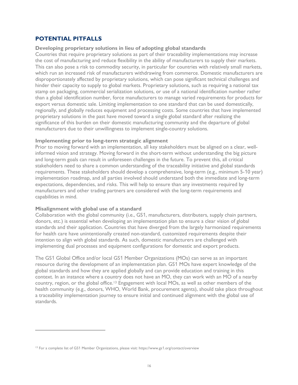### **POTENTIAL PITFALLS**

#### **Developing proprietary solutions in lieu of adopting global standards**

Countries that require proprietary solutions as part of their traceability implementations may increase the cost of manufacturing and reduce flexibility in the ability of manufacturers to supply their markets. This can also pose a risk to commodity security, in particular for countries with relatively small markets, which run an increased risk of manufacturers withdrawing from commerce. Domestic manufacturers are disproportionately affected by proprietary solutions, which can pose significant technical challenges and hinder their capacity to supply to global markets. Proprietary solutions, such as requiring a national tax stamp on packaging, commercial serialization solutions, or use of a national identification number rather than a global identification number, force manufacturers to manage varied requirements for products for export versus domestic sale. Limiting implementation to one standard that can be used domestically, regionally, and globally reduces equipment and processing costs. Some countries that have implemented proprietary solutions in the past have moved toward a single global standard after realizing the significance of this burden on their domestic manufacturing community and the departure of global manufacturers due to their unwillingness to implement single-country solutions.

#### **Implementing prior to long-term strategic alignment**

Prior to moving forward with an implementation, all key stakeholders must be aligned on a clear, wellinformed vision and strategy. Moving forward in the short-term without understanding the big picture and long-term goals can result in unforeseen challenges in the future. To prevent this, all critical stakeholders need to share a common understanding of the traceability initiative and global standards requirements. These stakeholders should develop a comprehensive, long-term (e.g., minimum 5-10 year) implementation roadmap, and all parties involved should understand both the immediate and long-term expectations, dependencies, and risks. This will help to ensure than any investments required by manufacturers and other trading partners are considered with the long-term requirements and capabilities in mind.

#### **Misalignment with global use of a standard**

 $\overline{a}$ 

Collaboration with the global community (i.e., GS1, manufacturers, distributers, supply chain partners, donors, etc.) is essential when developing an implementation plan to ensure a clear vision of global standards and their application. Countries that have diverged from the largely harmonized requirements for health care have unintentionally created non-standard, customized requirements despite their intention to align with global standards. As such, domestic manufacturers are challenged with implementing dual processes and equipment configurations for domestic and export products.

The GS1 Global Office and/or local GS1 Member Organizations (MOs) can serve as an important resource during the development of an implementation plan. GS1 MOs have expert knowledge of the global standards and how they are applied globally and can provide education and training in this context. In an instance where a country does not have an MO, they can work with an MO of a nearby country, region, or the global office.13 Engagement with local MOs, as well as other members of the health community (e.g., donors, WHO, World Bank, procurement agents), should take place throughout a traceability implementation journey to ensure initial and continued alignment with the global use of standards.

<sup>&</sup>lt;sup>13</sup> For a complete list of GS1 Member Organizations, please visit: https://www.gs1.org/contact/overview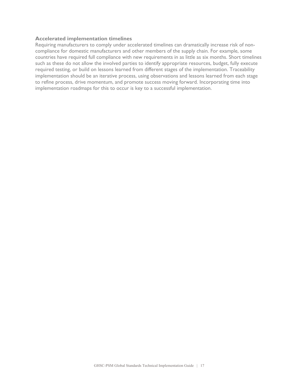#### **Accelerated implementation timelines**

Requiring manufacturers to comply under accelerated timelines can dramatically increase risk of noncompliance for domestic manufacturers and other members of the supply chain. For example, some countries have required full compliance with new requirements in as little as six months. Short timelines such as these do not allow the involved parties to identify appropriate resources, budget, fully execute required testing, or build on lessons learned from different stages of the implementation. Traceability implementation should be an iterative process, using observations and lessons learned from each stage to refine process, drive momentum, and promote success moving forward. Incorporating time into implementation roadmaps for this to occur is key to a successful implementation.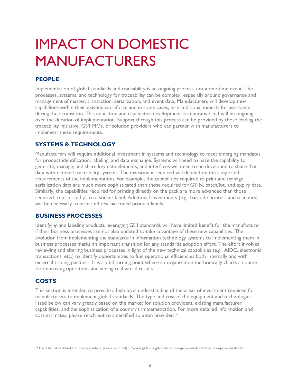## IMPACT ON DOMESTIC MANUFACTURERS

## **PEOPLE**

Implementation of global standards and traceability is an ongoing process, not a one-time event. The processes, systems, and technology for traceability can be complex, especially around governance and management of master, transaction, serialization, and event data. Manufacturers will develop new capabilities within their existing workforce and in some cases, hire additional experts for assistance during their transition. This education and capabilities development is imperative and will be ongoing over the duration of implementation. Support through this process can be provided by those leading the traceability initiative, GS1 MOs, or solution providers who can partner with manufacturers to implement these requirements.

## **SYSTEMS & TECHNOLOGY**

Manufacturers will require additional investment in systems and technology to meet emerging mandates for product identification, labeling, and data exchange. Systems will need to have the capability to generate, manage, and share key data elements, and interfaces will need to be developed to share that data with national traceability systems. The investment required will depend on the scope and requirements of the implementation. For example, the capabilities required to print and manage serialization data are much more sophisticated than those required for GTIN, batch/lot, and expiry date. Similarly, the capabilities required for printing directly on the pack are more advanced than those required to print and place a sticker label. Additional investments (e.g., barcode printers and scanners) will be necessary to print and test barcoded product labels.

## **BUSINESS PROCESSES**

Identifying and labeling products leveraging GS1 standards will have limited benefit for the manufacturer if their business processes are not also updated to take advantage of these new capabilities. The evolution from implementing the standards in information technology systems to implementing them in business processes marks an important transition for any standards adoption effort. The effort involves reviewing and altering business processes in light of the new technical capabilities (e.g., AIDC, electronic transactions, etc.) to identify opportunities to fuel operational efficiencies both internally and with external trading partners. It is a vital turning point where an organization methodically charts a course for improving operations and seeing real world results.

## **COSTS**

 $\overline{a}$ 

This section is intended to provide a high-level understanding of the areas of investment required for manufacturers to implement global standards. The type and cost of the equipment and technologies listed below can vary greatly based on the market for solution providers, existing manufacturer capabilities, and the sophistication of a country's implementation. For more detailed information and cost estimates, please reach out to a certified solution provider.14

<sup>&</sup>lt;sup>14</sup> For a list of certified solution providers, please visit: https://www.gs1us.org/tools/solution-provider-finder/solution-provider-finder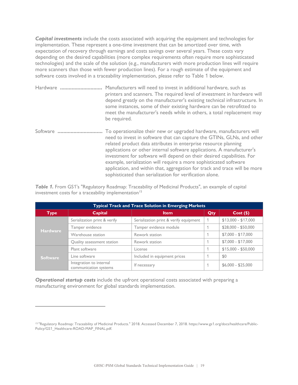*Capital investments* include the costs associated with acquiring the equipment and technologies for implementation. These represent a one-time investment that can be amortized over time, with expectation of recovery through earnings and costs savings over several years. These costs vary depending on the desired capabilities (more complex requirements often require more sophisticated technologies) and the scale of the solution (e.g., manufacturers with more production lines will require more scanners than those with fewer production lines). For a rough estimate of the equipment and software costs involved in a traceability implementation, please refer to Table 1 below.

| Hardware | Manufacturers will need to invest in additional hardware, such as<br>printers and scanners. The required level of investment in hardware will<br>depend greatly on the manufacturer's existing technical infrastructure. In<br>some instances, some of their existing hardware can be retrofitted to<br>meet the manufacturer's needs while in others, a total replacement may<br>be required.                                                                                                                                                                                       |
|----------|--------------------------------------------------------------------------------------------------------------------------------------------------------------------------------------------------------------------------------------------------------------------------------------------------------------------------------------------------------------------------------------------------------------------------------------------------------------------------------------------------------------------------------------------------------------------------------------|
| Software | To operationalize their new or upgraded hardware, manufacturers will<br>need to invest in software that can capture the GTINs, GLNs, and other<br>related product data attributes in enterprise resource planning<br>applications or other internal software applications. A manufacturer's<br>investment for software will depend on their desired capabilities. For<br>example, serialization will require a more sophisticated software<br>application, and within that, aggregation for track and trace will be more<br>sophisticated than serialization for verification alone. |

*Table 1.* From GS1's "Regulatory Roadmap: Traceability of Medicinal Products", an example of capital investment costs for a traceability implementation $15$ 

| <b>Typical Track and Trace Solution in Emerging Markets</b> |                                                  |                                        |     |                     |
|-------------------------------------------------------------|--------------------------------------------------|----------------------------------------|-----|---------------------|
| <b>Type</b>                                                 | Capital                                          | Item/                                  | Qty | $Cost($ \$)         |
| <b>Hardware</b>                                             | Serialization print & verify                     | Serialization print & verify equipment |     | $$13,000 - $17,000$ |
|                                                             | Tamper evidence                                  | Tamper evidence module                 |     | \$28,000 - \$50,000 |
|                                                             | Warehouse station                                | Rework station                         |     | $$7,000 - $17,000$  |
|                                                             | Quality assessment station                       | Rework station                         |     | $$7,000 - $17,000$  |
| <b>Software</b>                                             | Plant software                                   | License                                |     | $$15,000 - $50,000$ |
|                                                             | Line software                                    | Included in equipment prices           |     | \$0                 |
|                                                             | Integration to internal<br>communication systems | If necessary                           |     | $$6,000 - $25,000$  |

*Operational startup costs* include the upfront operational costs associated with preparing a manufacturing environment for global standards implementation.

 $\overline{a}$ 

<sup>15</sup> "Regulatory Roadmap: Traceability of Medicinal Products." 2018. Accessed December 7, 2018. https://www.gs1.org/docs/healthcare/Public-Policy/GS1\_Healthcare-ROAD-MAP\_FINAL.pdf.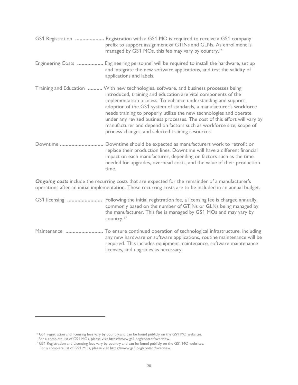|          | GS1 Registration  Registration with a GS1 MO is required to receive a GS1 company<br>prefix to support assignment of GTINs and GLNs. As enrollment is<br>managed by GS1 MOs, this fee may vary by country. <sup>16</sup>                                                                                                                                                                                                                                                                                                                                                        |
|----------|---------------------------------------------------------------------------------------------------------------------------------------------------------------------------------------------------------------------------------------------------------------------------------------------------------------------------------------------------------------------------------------------------------------------------------------------------------------------------------------------------------------------------------------------------------------------------------|
|          | Engineering Costs  Engineering personnel will be required to install the hardware, set up<br>and integrate the new software applications, and test the validity of<br>applications and labels.                                                                                                                                                                                                                                                                                                                                                                                  |
|          | Training and Education  With new technologies, software, and business processes being<br>introduced, training and education are vital components of the<br>implementation process. To enhance understanding and support<br>adoption of the GS1 system of standards, a manufacturer's workforce<br>needs training to properly utilize the new technologies and operate<br>under any revised business processes. The cost of this effort will vary by<br>manufacturer and depend on factors such as workforce size, scope of<br>process changes, and selected training resources. |
| Downtime | Downtime should be expected as manufacturers work to retrofit or<br>replace their production lines. Downtime will have a different financial<br>impact on each manufacturer, depending on factors such as the time<br>needed for upgrades, overhead costs, and the value of their production<br>time.                                                                                                                                                                                                                                                                           |
|          | Ongoing costs include the recurring costs that are expected for the remainder of a manufacturer's<br>operations after an initial implementation. These recurring costs are to be included in an annual budget.                                                                                                                                                                                                                                                                                                                                                                  |
|          | GS1 licensing  Following the initial registration fee, a licensing fee is charged annually,<br>commonly based on the number of GTINs or GLNs being managed by<br>the manufacturer. This fee is managed by GS1 MOs and may vary by<br>country. <sup>17</sup>                                                                                                                                                                                                                                                                                                                     |
|          | Maintenance  To ensure continued operation of technological infrastructure, including                                                                                                                                                                                                                                                                                                                                                                                                                                                                                           |

any new hardware or software applications, routine maintenance will be required. This includes equipment maintenance, software maintenance

 $\overline{a}$ 

licenses, and upgrades as necessary.

<sup>&</sup>lt;sup>16</sup> GS1 registration and licensing fees vary by country and can be found publicly on the GS1 MO websites.

For a complete list of GS1 MOs, please visit https://www.gs1.org/contact/overview.<br><sup>17</sup> GS1 Registration and Licensing fees vary by country and can be found publicly on the GS1 MO websites. For a complete list of GS1 MOs, please visit https://www.gs1.org/contact/overview.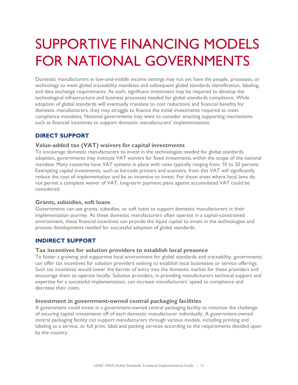## SUPPORTIVE FINANCING MODELS FOR NATIONAL GOVERNMENTS

Domestic manufacturers in low-and-middle income settings may not yet have the people, processes, or technology to meet global traceability mandates and subsequent global standards identification, labeling, and data exchange requirements. As such, significant investment may be required to develop the technological infrastructure and business processes needed for global standards compliance. While adoption of global standards will eventually translate to cost reductions and financial benefits for domestic manufacturers, they may struggle to finance the initial investments required to meet compliance mandates. National governments may want to consider enacting supporting mechanisms such as financial incentives to support domestic manufacturers' implementations.

## **DIRECT SUPPORT**

### **Value-added tax (VAT) waivers for capital investments**

To encourage domestic manufacturers to invest in the technologies needed for global standards adoption, governments may institute VAT waivers for fixed investments within the scope of the national mandate. Many countries have VAT systems in place with rates typically ranging from 10 to 20 percent. Exempting capital investments, such as barcode printers and scanners, from this VAT will significantly reduce the cost of implementation and be an incentive to invest. For those areas where local laws do not permit a complete waiver of VAT, long-term payment plans against accumulated VAT could be considered.

### **Grants, subsidies, soft loans**

Governments can use grants, subsidies, or soft loans to support domestic manufacturers in their implementation journey. As these domestic manufacturers often operate in a capital-constrained environment, these financial incentives can provide the liquid capital to invest in the technologies and process developments needed for successful adoption of global standards.

## **INDIRECT SUPPORT**

### **Tax incentives for solution providers to establish local presence**

To foster a growing and supportive local environment for global standards and traceability, governments can offer tax incentives for solution providers seeking to establish local businesses or service offerings. Such tax incentives would lower the barrier of entry into the domestic market for these providers and encourage them to operate locally. Solution providers, in providing manufacturers technical support and expertise for a successful implementation, can increase manufacturers' speed to compliance and decrease their costs.

### **Investment in government-owned central packaging facilities**

A government could invest in a government-owned central packaging facility to minimize the challenge of securing capital investments off of each domestic manufacturer individually. A government-owned central packaging facility can support manufacturers through various models, including printing and labeling as a service, or full print, label and packing services according to the requirements decided upon by the country.